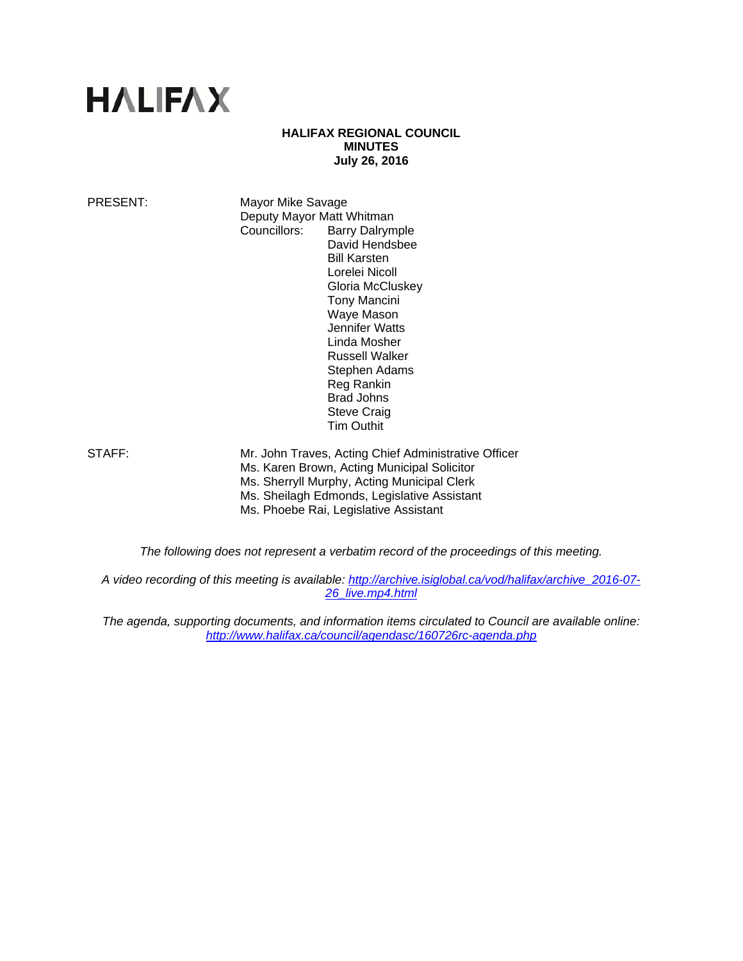# **HALIFAX**

#### **HALIFAX REGIONAL COUNCIL MINUTES July 26, 2016**

PRESENT: Mayor Mike Savage Deputy Mayor Matt Whitman Councillors: Barry Dalrymple David Hendsbee Bill Karsten Lorelei Nicoll Gloria McCluskey Tony Mancini Waye Mason Jennifer Watts Linda Mosher Russell Walker Stephen Adams Reg Rankin Brad Johns Steve Craig Tim Outhit

STAFF: Mr. John Traves, Acting Chief Administrative Officer Ms. Karen Brown, Acting Municipal Solicitor Ms. Sherryll Murphy, Acting Municipal Clerk Ms. Sheilagh Edmonds, Legislative Assistant Ms. Phoebe Rai, Legislative Assistant

*The following does not represent a verbatim record of the proceedings of this meeting.* 

*A video recording of this meeting is available: http://archive.isiglobal.ca/vod/halifax/archive\_2016-07- 26\_live.mp4.html* 

*The agenda, supporting documents, and information items circulated to Council are available online: http://www.halifax.ca/council/agendasc/160726rc-agenda.php*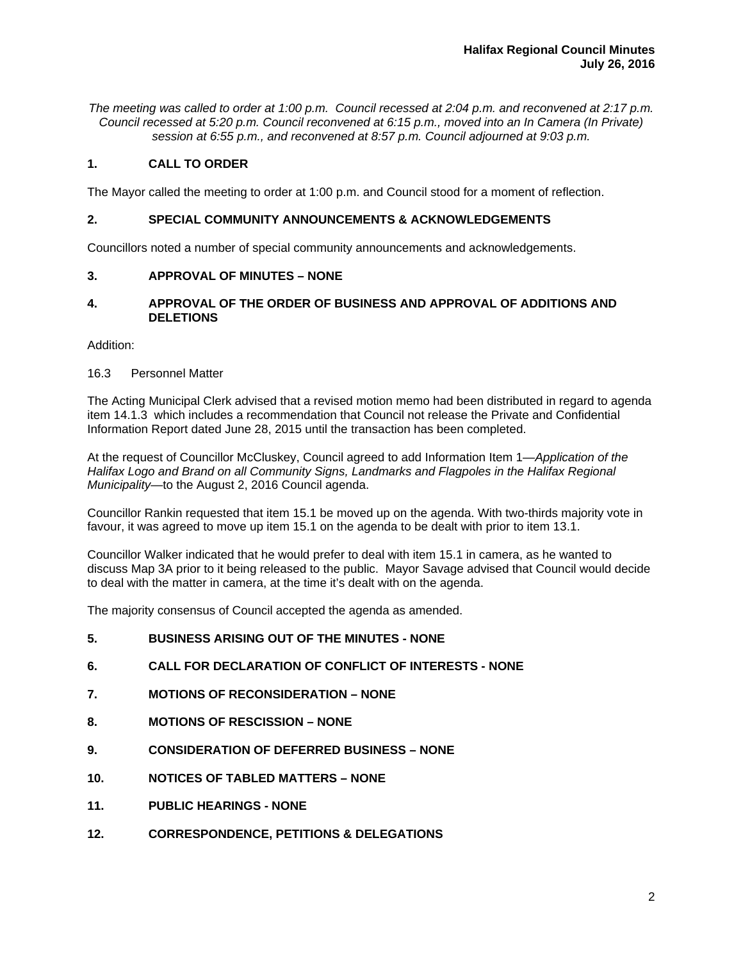*The meeting was called to order at 1:00 p.m. Council recessed at 2:04 p.m. and reconvened at 2:17 p.m. Council recessed at 5:20 p.m. Council reconvened at 6:15 p.m., moved into an In Camera (In Private) session at 6:55 p.m., and reconvened at 8:57 p.m. Council adjourned at 9:03 p.m.*

## **1. CALL TO ORDER**

The Mayor called the meeting to order at 1:00 p.m. and Council stood for a moment of reflection.

## **2. SPECIAL COMMUNITY ANNOUNCEMENTS & ACKNOWLEDGEMENTS**

Councillors noted a number of special community announcements and acknowledgements.

## **3. APPROVAL OF MINUTES – NONE**

## **4. APPROVAL OF THE ORDER OF BUSINESS AND APPROVAL OF ADDITIONS AND DELETIONS**

Addition:

## 16.3 Personnel Matter

The Acting Municipal Clerk advised that a revised motion memo had been distributed in regard to agenda item 14.1.3 which includes a recommendation that Council not release the Private and Confidential Information Report dated June 28, 2015 until the transaction has been completed.

At the request of Councillor McCluskey, Council agreed to add Information Item 1—*Application of the Halifax Logo and Brand on all Community Signs, Landmarks and Flagpoles in the Halifax Regional Municipality*—to the August 2, 2016 Council agenda.

Councillor Rankin requested that item 15.1 be moved up on the agenda. With two-thirds majority vote in favour, it was agreed to move up item 15.1 on the agenda to be dealt with prior to item 13.1.

Councillor Walker indicated that he would prefer to deal with item 15.1 in camera, as he wanted to discuss Map 3A prior to it being released to the public. Mayor Savage advised that Council would decide to deal with the matter in camera, at the time it's dealt with on the agenda.

The majority consensus of Council accepted the agenda as amended.

- **5. BUSINESS ARISING OUT OF THE MINUTES NONE**
- **6. CALL FOR DECLARATION OF CONFLICT OF INTERESTS NONE**
- **7. MOTIONS OF RECONSIDERATION NONE**
- **8. MOTIONS OF RESCISSION NONE**
- **9. CONSIDERATION OF DEFERRED BUSINESS NONE**
- **10. NOTICES OF TABLED MATTERS NONE**
- **11. PUBLIC HEARINGS NONE**
- **12. CORRESPONDENCE, PETITIONS & DELEGATIONS**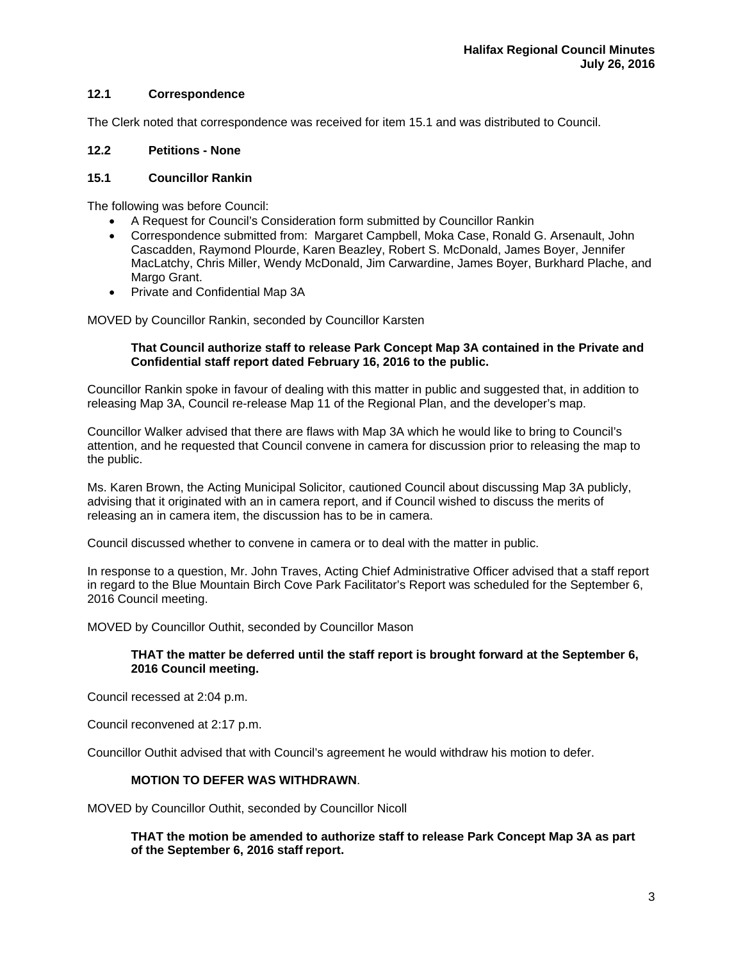## **12.1 Correspondence**

The Clerk noted that correspondence was received for item 15.1 and was distributed to Council.

## **12.2 Petitions - None**

#### **15.1 Councillor Rankin**

The following was before Council:

- A Request for Council's Consideration form submitted by Councillor Rankin
- Correspondence submitted from: Margaret Campbell, Moka Case, Ronald G. Arsenault, John Cascadden, Raymond Plourde, Karen Beazley, Robert S. McDonald, James Boyer, Jennifer MacLatchy, Chris Miller, Wendy McDonald, Jim Carwardine, James Boyer, Burkhard Plache, and Margo Grant.
- Private and Confidential Map 3A

MOVED by Councillor Rankin, seconded by Councillor Karsten

## **That Council authorize staff to release Park Concept Map 3A contained in the Private and Confidential staff report dated February 16, 2016 to the public.**

Councillor Rankin spoke in favour of dealing with this matter in public and suggested that, in addition to releasing Map 3A, Council re-release Map 11 of the Regional Plan, and the developer's map.

Councillor Walker advised that there are flaws with Map 3A which he would like to bring to Council's attention, and he requested that Council convene in camera for discussion prior to releasing the map to the public.

Ms. Karen Brown, the Acting Municipal Solicitor, cautioned Council about discussing Map 3A publicly, advising that it originated with an in camera report, and if Council wished to discuss the merits of releasing an in camera item, the discussion has to be in camera.

Council discussed whether to convene in camera or to deal with the matter in public.

In response to a question, Mr. John Traves, Acting Chief Administrative Officer advised that a staff report in regard to the Blue Mountain Birch Cove Park Facilitator's Report was scheduled for the September 6, 2016 Council meeting.

MOVED by Councillor Outhit, seconded by Councillor Mason

## **THAT the matter be deferred until the staff report is brought forward at the September 6, 2016 Council meeting.**

Council recessed at 2:04 p.m.

Council reconvened at 2:17 p.m.

Councillor Outhit advised that with Council's agreement he would withdraw his motion to defer.

### **MOTION TO DEFER WAS WITHDRAWN**.

MOVED by Councillor Outhit, seconded by Councillor Nicoll

**THAT the motion be amended to authorize staff to release Park Concept Map 3A as part of the September 6, 2016 staff report.**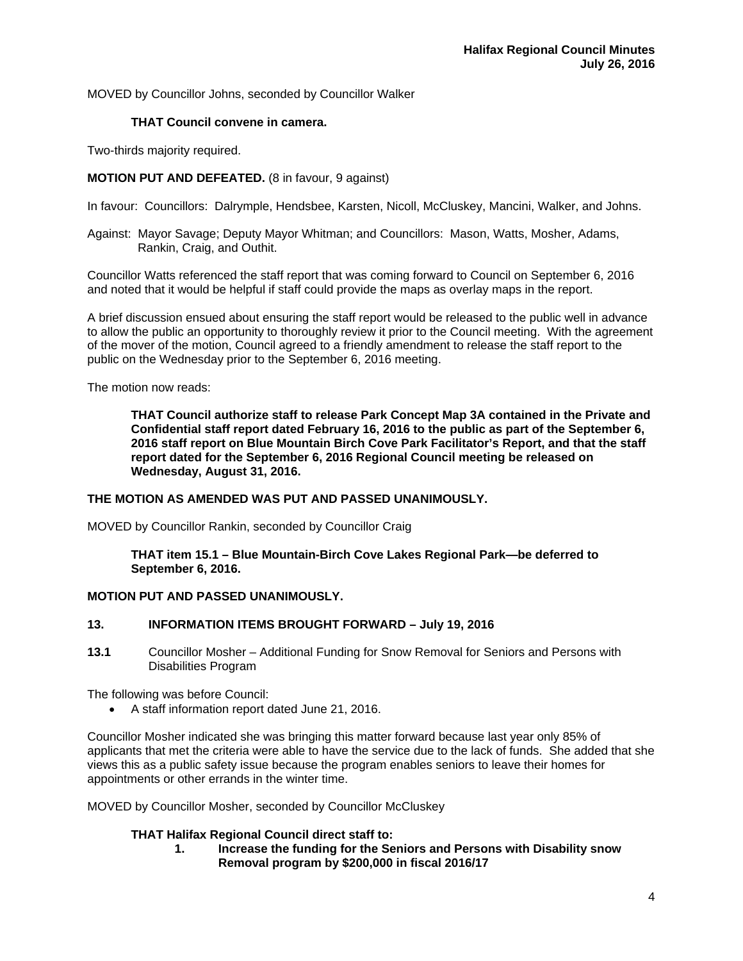MOVED by Councillor Johns, seconded by Councillor Walker

## **THAT Council convene in camera.**

Two-thirds majority required.

## **MOTION PUT AND DEFEATED.** (8 in favour, 9 against)

In favour: Councillors: Dalrymple, Hendsbee, Karsten, Nicoll, McCluskey, Mancini, Walker, and Johns.

Against: Mayor Savage; Deputy Mayor Whitman; and Councillors: Mason, Watts, Mosher, Adams, Rankin, Craig, and Outhit.

Councillor Watts referenced the staff report that was coming forward to Council on September 6, 2016 and noted that it would be helpful if staff could provide the maps as overlay maps in the report.

A brief discussion ensued about ensuring the staff report would be released to the public well in advance to allow the public an opportunity to thoroughly review it prior to the Council meeting. With the agreement of the mover of the motion, Council agreed to a friendly amendment to release the staff report to the public on the Wednesday prior to the September 6, 2016 meeting.

The motion now reads:

 **THAT Council authorize staff to release Park Concept Map 3A contained in the Private and Confidential staff report dated February 16, 2016 to the public as part of the September 6, 2016 staff report on Blue Mountain Birch Cove Park Facilitator's Report, and that the staff report dated for the September 6, 2016 Regional Council meeting be released on Wednesday, August 31, 2016.**

#### **THE MOTION AS AMENDED WAS PUT AND PASSED UNANIMOUSLY.**

MOVED by Councillor Rankin, seconded by Councillor Craig

**THAT item 15.1 – Blue Mountain-Birch Cove Lakes Regional Park—be deferred to September 6, 2016.** 

#### **MOTION PUT AND PASSED UNANIMOUSLY.**

#### **13. INFORMATION ITEMS BROUGHT FORWARD – July 19, 2016**

**13.1** Councillor Mosher – Additional Funding for Snow Removal for Seniors and Persons with Disabilities Program

The following was before Council:

A staff information report dated June 21, 2016.

Councillor Mosher indicated she was bringing this matter forward because last year only 85% of applicants that met the criteria were able to have the service due to the lack of funds. She added that she views this as a public safety issue because the program enables seniors to leave their homes for appointments or other errands in the winter time.

MOVED by Councillor Mosher, seconded by Councillor McCluskey

#### **THAT Halifax Regional Council direct staff to:**

 **1. Increase the funding for the Seniors and Persons with Disability snow Removal program by \$200,000 in fiscal 2016/17**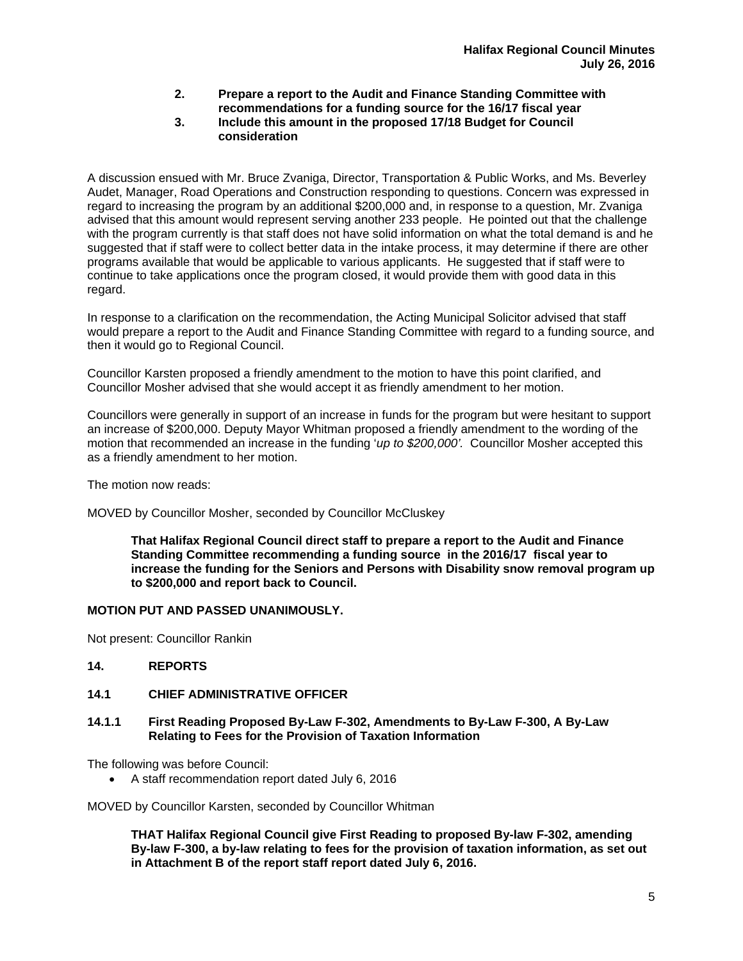- **2. Prepare a report to the Audit and Finance Standing Committee with recommendations for a funding source for the 16/17 fiscal year**
- **3. Include this amount in the proposed 17/18 Budget for Council consideration**

A discussion ensued with Mr. Bruce Zvaniga, Director, Transportation & Public Works, and Ms. Beverley Audet, Manager, Road Operations and Construction responding to questions. Concern was expressed in regard to increasing the program by an additional \$200,000 and, in response to a question, Mr. Zvaniga advised that this amount would represent serving another 233 people. He pointed out that the challenge with the program currently is that staff does not have solid information on what the total demand is and he suggested that if staff were to collect better data in the intake process, it may determine if there are other programs available that would be applicable to various applicants. He suggested that if staff were to continue to take applications once the program closed, it would provide them with good data in this regard.

In response to a clarification on the recommendation, the Acting Municipal Solicitor advised that staff would prepare a report to the Audit and Finance Standing Committee with regard to a funding source, and then it would go to Regional Council.

Councillor Karsten proposed a friendly amendment to the motion to have this point clarified, and Councillor Mosher advised that she would accept it as friendly amendment to her motion.

Councillors were generally in support of an increase in funds for the program but were hesitant to support an increase of \$200,000. Deputy Mayor Whitman proposed a friendly amendment to the wording of the motion that recommended an increase in the funding '*up to \$200,000'.* Councillor Mosher accepted this as a friendly amendment to her motion.

The motion now reads:

MOVED by Councillor Mosher, seconded by Councillor McCluskey

 **That Halifax Regional Council direct staff to prepare a report to the Audit and Finance Standing Committee recommending a funding source in the 2016/17 fiscal year to increase the funding for the Seniors and Persons with Disability snow removal program up to \$200,000 and report back to Council.** 

## **MOTION PUT AND PASSED UNANIMOUSLY.**

Not present: Councillor Rankin

## **14. REPORTS**

## **14.1 CHIEF ADMINISTRATIVE OFFICER**

#### **14.1.1 First Reading Proposed By-Law F-302, Amendments to By-Law F-300, A By-Law Relating to Fees for the Provision of Taxation Information**

The following was before Council:

A staff recommendation report dated July 6, 2016

MOVED by Councillor Karsten, seconded by Councillor Whitman

**THAT Halifax Regional Council give First Reading to proposed By-law F-302, amending By-law F-300, a by-law relating to fees for the provision of taxation information, as set out in Attachment B of the report staff report dated July 6, 2016.**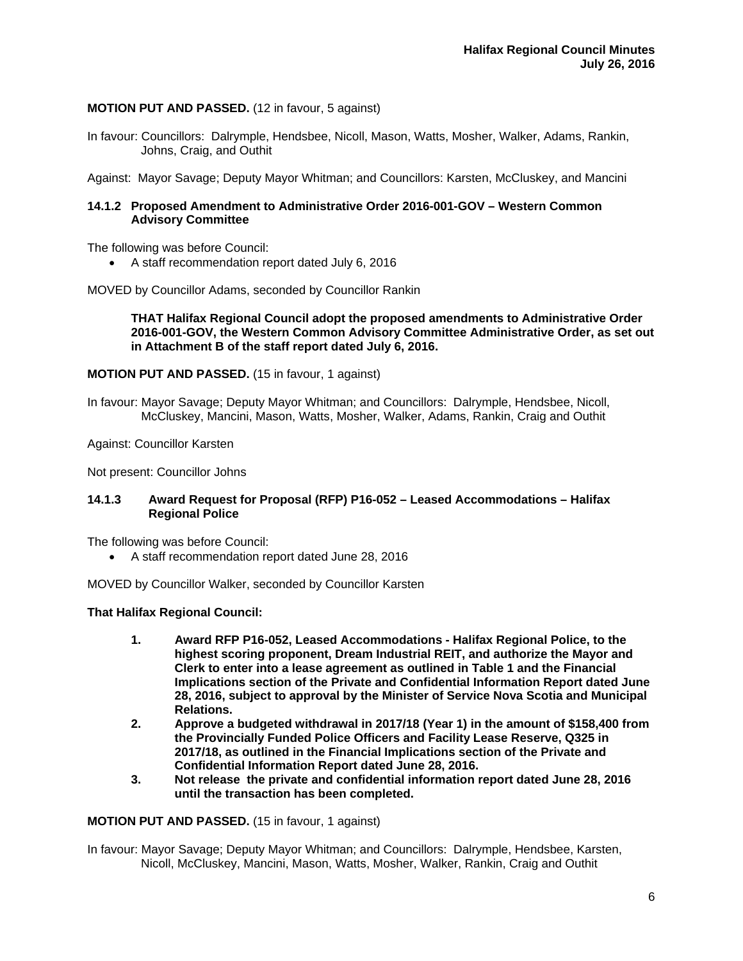## **MOTION PUT AND PASSED.** (12 in favour, 5 against)

In favour: Councillors: Dalrymple, Hendsbee, Nicoll, Mason, Watts, Mosher, Walker, Adams, Rankin, Johns, Craig, and Outhit

Against: Mayor Savage; Deputy Mayor Whitman; and Councillors: Karsten, McCluskey, and Mancini

#### **14.1.2 Proposed Amendment to Administrative Order 2016-001-GOV – Western Common Advisory Committee**

The following was before Council:

A staff recommendation report dated July 6, 2016

MOVED by Councillor Adams, seconded by Councillor Rankin

#### **THAT Halifax Regional Council adopt the proposed amendments to Administrative Order 2016-001-GOV, the Western Common Advisory Committee Administrative Order, as set out in Attachment B of the staff report dated July 6, 2016.**

#### **MOTION PUT AND PASSED.** (15 in favour, 1 against)

In favour: Mayor Savage; Deputy Mayor Whitman; and Councillors: Dalrymple, Hendsbee, Nicoll, McCluskey, Mancini, Mason, Watts, Mosher, Walker, Adams, Rankin, Craig and Outhit

Against: Councillor Karsten

Not present: Councillor Johns

#### **14.1.3 Award Request for Proposal (RFP) P16-052 – Leased Accommodations – Halifax Regional Police**

The following was before Council:

A staff recommendation report dated June 28, 2016

MOVED by Councillor Walker, seconded by Councillor Karsten

#### **That Halifax Regional Council:**

- **1. Award RFP P16-052, Leased Accommodations Halifax Regional Police, to the highest scoring proponent, Dream Industrial REIT, and authorize the Mayor and Clerk to enter into a lease agreement as outlined in Table 1 and the Financial Implications section of the Private and Confidential Information Report dated June 28, 2016, subject to approval by the Minister of Service Nova Scotia and Municipal Relations.**
- **2. Approve a budgeted withdrawal in 2017/18 (Year 1) in the amount of \$158,400 from the Provincially Funded Police Officers and Facility Lease Reserve, Q325 in 2017/18, as outlined in the Financial Implications section of the Private and Confidential Information Report dated June 28, 2016.**
- **3. Not release the private and confidential information report dated June 28, 2016 until the transaction has been completed.**

**MOTION PUT AND PASSED.** (15 in favour, 1 against)

In favour: Mayor Savage; Deputy Mayor Whitman; and Councillors: Dalrymple, Hendsbee, Karsten, Nicoll, McCluskey, Mancini, Mason, Watts, Mosher, Walker, Rankin, Craig and Outhit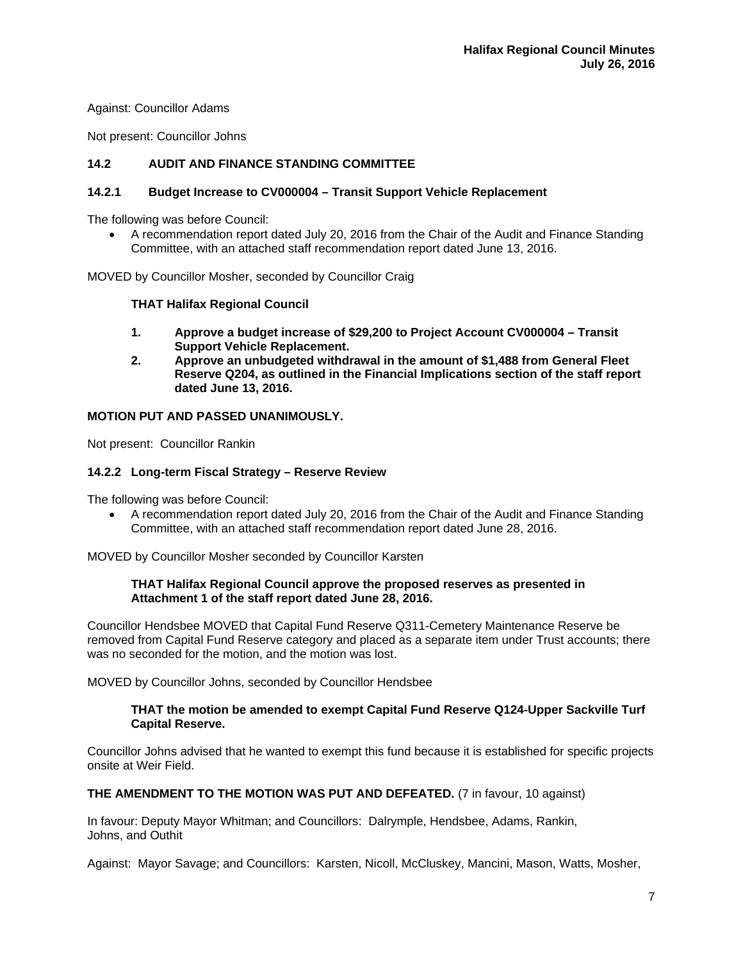Against: Councillor Adams

Not present: Councillor Johns

## **14.2 AUDIT AND FINANCE STANDING COMMITTEE**

## **14.2.1 Budget Increase to CV000004 – Transit Support Vehicle Replacement**

The following was before Council:

 A recommendation report dated July 20, 2016 from the Chair of the Audit and Finance Standing Committee, with an attached staff recommendation report dated June 13, 2016.

MOVED by Councillor Mosher, seconded by Councillor Craig

## **THAT Halifax Regional Council**

- **1. Approve a budget increase of \$29,200 to Project Account CV000004 Transit Support Vehicle Replacement.**
- **2. Approve an unbudgeted withdrawal in the amount of \$1,488 from General Fleet Reserve Q204, as outlined in the Financial Implications section of the staff report dated June 13, 2016.**

## **MOTION PUT AND PASSED UNANIMOUSLY.**

Not present: Councillor Rankin

## **14.2.2 Long-term Fiscal Strategy – Reserve Review**

The following was before Council:

 A recommendation report dated July 20, 2016 from the Chair of the Audit and Finance Standing Committee, with an attached staff recommendation report dated June 28, 2016.

MOVED by Councillor Mosher seconded by Councillor Karsten

#### **THAT Halifax Regional Council approve the proposed reserves as presented in Attachment 1 of the staff report dated June 28, 2016.**

Councillor Hendsbee MOVED that Capital Fund Reserve Q311-Cemetery Maintenance Reserve be removed from Capital Fund Reserve category and placed as a separate item under Trust accounts; there was no seconded for the motion, and the motion was lost.

MOVED by Councillor Johns, seconded by Councillor Hendsbee

#### **THAT the motion be amended to exempt Capital Fund Reserve Q124-Upper Sackville Turf Capital Reserve.**

Councillor Johns advised that he wanted to exempt this fund because it is established for specific projects onsite at Weir Field.

#### **THE AMENDMENT TO THE MOTION WAS PUT AND DEFEATED.** (7 in favour, 10 against)

In favour: Deputy Mayor Whitman; and Councillors: Dalrymple, Hendsbee, Adams, Rankin, Johns, and Outhit

Against: Mayor Savage; and Councillors: Karsten, Nicoll, McCluskey, Mancini, Mason, Watts, Mosher,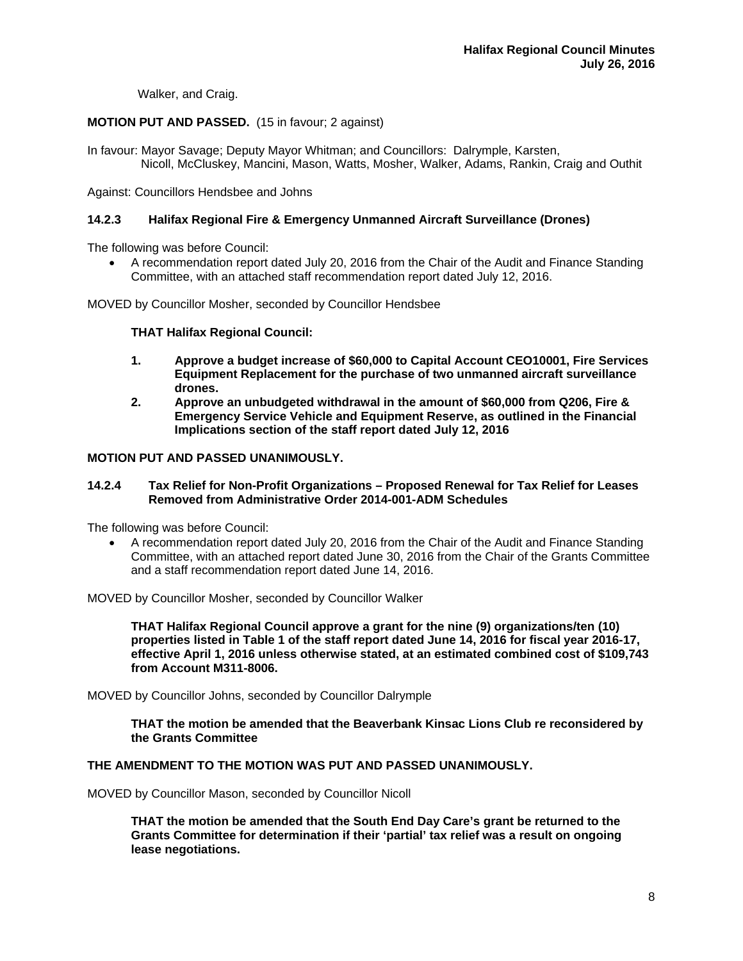Walker, and Craig.

## **MOTION PUT AND PASSED.** (15 in favour; 2 against)

In favour: Mayor Savage; Deputy Mayor Whitman; and Councillors: Dalrymple, Karsten, Nicoll, McCluskey, Mancini, Mason, Watts, Mosher, Walker, Adams, Rankin, Craig and Outhit

Against: Councillors Hendsbee and Johns

## **14.2.3 Halifax Regional Fire & Emergency Unmanned Aircraft Surveillance (Drones)**

The following was before Council:

 A recommendation report dated July 20, 2016 from the Chair of the Audit and Finance Standing Committee, with an attached staff recommendation report dated July 12, 2016.

MOVED by Councillor Mosher, seconded by Councillor Hendsbee

## **THAT Halifax Regional Council:**

- **1. Approve a budget increase of \$60,000 to Capital Account CEO10001, Fire Services Equipment Replacement for the purchase of two unmanned aircraft surveillance drones.**
- **2. Approve an unbudgeted withdrawal in the amount of \$60,000 from Q206, Fire & Emergency Service Vehicle and Equipment Reserve, as outlined in the Financial Implications section of the staff report dated July 12, 2016**

## **MOTION PUT AND PASSED UNANIMOUSLY.**

#### **14.2.4 Tax Relief for Non-Profit Organizations – Proposed Renewal for Tax Relief for Leases Removed from Administrative Order 2014-001-ADM Schedules**

The following was before Council:

 A recommendation report dated July 20, 2016 from the Chair of the Audit and Finance Standing Committee, with an attached report dated June 30, 2016 from the Chair of the Grants Committee and a staff recommendation report dated June 14, 2016.

MOVED by Councillor Mosher, seconded by Councillor Walker

**THAT Halifax Regional Council approve a grant for the nine (9) organizations/ten (10) properties listed in Table 1 of the staff report dated June 14, 2016 for fiscal year 2016-17, effective April 1, 2016 unless otherwise stated, at an estimated combined cost of \$109,743 from Account M311-8006.** 

MOVED by Councillor Johns, seconded by Councillor Dalrymple

**THAT the motion be amended that the Beaverbank Kinsac Lions Club re reconsidered by the Grants Committee** 

#### **THE AMENDMENT TO THE MOTION WAS PUT AND PASSED UNANIMOUSLY.**

MOVED by Councillor Mason, seconded by Councillor Nicoll

**THAT the motion be amended that the South End Day Care's grant be returned to the Grants Committee for determination if their 'partial' tax relief was a result on ongoing lease negotiations.**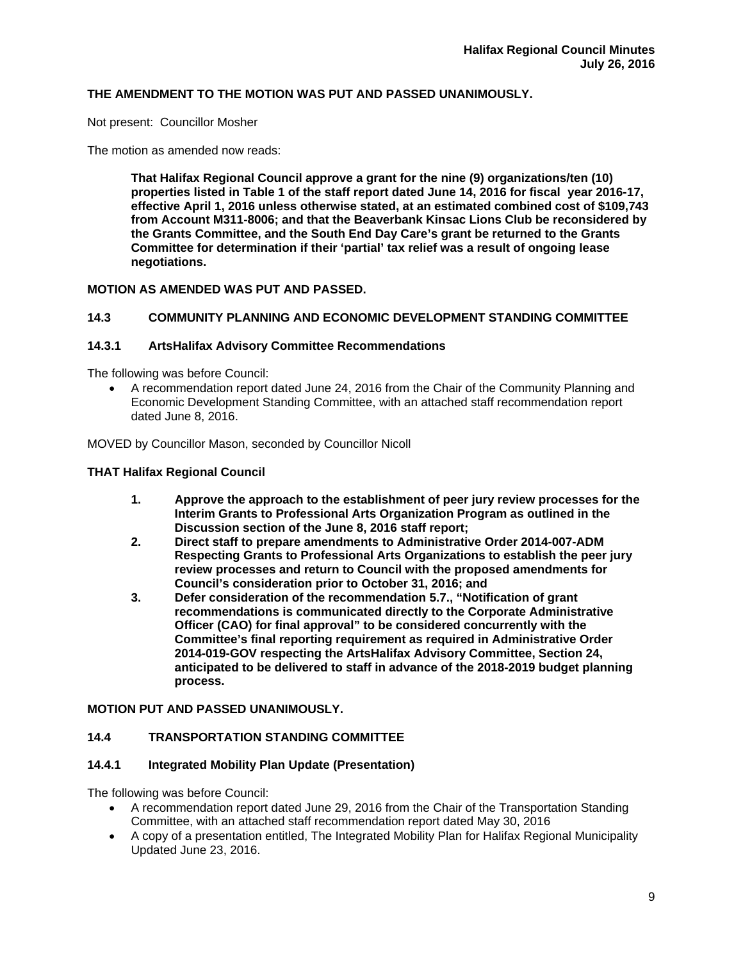## **THE AMENDMENT TO THE MOTION WAS PUT AND PASSED UNANIMOUSLY.**

Not present: Councillor Mosher

The motion as amended now reads:

**That Halifax Regional Council approve a grant for the nine (9) organizations/ten (10) properties listed in Table 1 of the staff report dated June 14, 2016 for fiscal year 2016-17, effective April 1, 2016 unless otherwise stated, at an estimated combined cost of \$109,743 from Account M311-8006; and that the Beaverbank Kinsac Lions Club be reconsidered by the Grants Committee, and the South End Day Care's grant be returned to the Grants Committee for determination if their 'partial' tax relief was a result of ongoing lease negotiations.** 

## **MOTION AS AMENDED WAS PUT AND PASSED.**

## **14.3 COMMUNITY PLANNING AND ECONOMIC DEVELOPMENT STANDING COMMITTEE**

#### **14.3.1 ArtsHalifax Advisory Committee Recommendations**

The following was before Council:

 A recommendation report dated June 24, 2016 from the Chair of the Community Planning and Economic Development Standing Committee, with an attached staff recommendation report dated June 8, 2016.

MOVED by Councillor Mason, seconded by Councillor Nicoll

#### **THAT Halifax Regional Council**

- **1. Approve the approach to the establishment of peer jury review processes for the Interim Grants to Professional Arts Organization Program as outlined in the Discussion section of the June 8, 2016 staff report;**
- **2. Direct staff to prepare amendments to Administrative Order 2014-007-ADM Respecting Grants to Professional Arts Organizations to establish the peer jury review processes and return to Council with the proposed amendments for Council's consideration prior to October 31, 2016; and**
- **3. Defer consideration of the recommendation 5.7., "Notification of grant recommendations is communicated directly to the Corporate Administrative Officer (CAO) for final approval" to be considered concurrently with the Committee's final reporting requirement as required in Administrative Order 2014-019-GOV respecting the ArtsHalifax Advisory Committee, Section 24, anticipated to be delivered to staff in advance of the 2018-2019 budget planning process.**

#### **MOTION PUT AND PASSED UNANIMOUSLY.**

#### **14.4 TRANSPORTATION STANDING COMMITTEE**

#### **14.4.1 Integrated Mobility Plan Update (Presentation)**

The following was before Council:

- A recommendation report dated June 29, 2016 from the Chair of the Transportation Standing Committee, with an attached staff recommendation report dated May 30, 2016
- A copy of a presentation entitled, The Integrated Mobility Plan for Halifax Regional Municipality Updated June 23, 2016.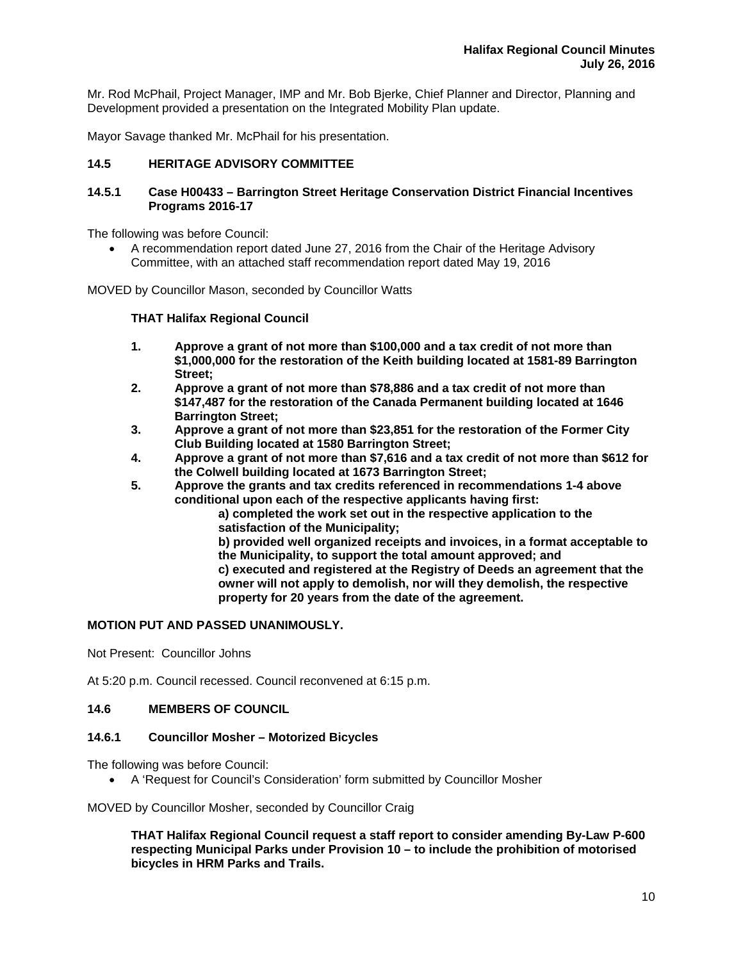Mr. Rod McPhail, Project Manager, IMP and Mr. Bob Bjerke, Chief Planner and Director, Planning and Development provided a presentation on the Integrated Mobility Plan update.

Mayor Savage thanked Mr. McPhail for his presentation.

## **14.5 HERITAGE ADVISORY COMMITTEE**

#### **14.5.1 Case H00433 – Barrington Street Heritage Conservation District Financial Incentives Programs 2016-17**

The following was before Council:

 A recommendation report dated June 27, 2016 from the Chair of the Heritage Advisory Committee, with an attached staff recommendation report dated May 19, 2016

MOVED by Councillor Mason, seconded by Councillor Watts

#### **THAT Halifax Regional Council**

- **1. Approve a grant of not more than \$100,000 and a tax credit of not more than \$1,000,000 for the restoration of the Keith building located at 1581-89 Barrington Street;**
- **2. Approve a grant of not more than \$78,886 and a tax credit of not more than \$147,487 for the restoration of the Canada Permanent building located at 1646 Barrington Street;**
- **3. Approve a grant of not more than \$23,851 for the restoration of the Former City Club Building located at 1580 Barrington Street;**
- **4. Approve a grant of not more than \$7,616 and a tax credit of not more than \$612 for the Colwell building located at 1673 Barrington Street;**
- **5. Approve the grants and tax credits referenced in recommendations 1-4 above conditional upon each of the respective applicants having first:**

 **a) completed the work set out in the respective application to the satisfaction of the Municipality;** 

 **b) provided well organized receipts and invoices, in a format acceptable to the Municipality, to support the total amount approved; and c) executed and registered at the Registry of Deeds an agreement that the owner will not apply to demolish, nor will they demolish, the respective property for 20 years from the date of the agreement.** 

#### **MOTION PUT AND PASSED UNANIMOUSLY.**

Not Present: Councillor Johns

At 5:20 p.m. Council recessed. Council reconvened at 6:15 p.m.

## **14.6 MEMBERS OF COUNCIL**

#### **14.6.1 Councillor Mosher – Motorized Bicycles**

The following was before Council:

A 'Request for Council's Consideration' form submitted by Councillor Mosher

MOVED by Councillor Mosher, seconded by Councillor Craig

**THAT Halifax Regional Council request a staff report to consider amending By-Law P-600 respecting Municipal Parks under Provision 10 – to include the prohibition of motorised bicycles in HRM Parks and Trails.**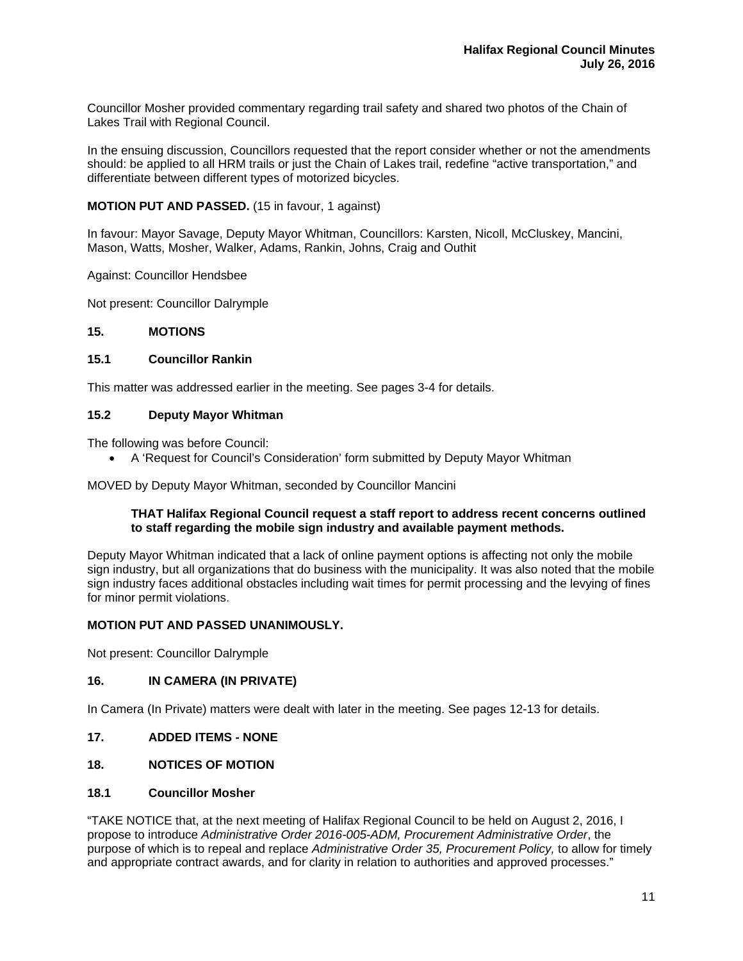Councillor Mosher provided commentary regarding trail safety and shared two photos of the Chain of Lakes Trail with Regional Council.

In the ensuing discussion, Councillors requested that the report consider whether or not the amendments should: be applied to all HRM trails or just the Chain of Lakes trail, redefine "active transportation," and differentiate between different types of motorized bicycles.

## **MOTION PUT AND PASSED.** (15 in favour, 1 against)

In favour: Mayor Savage, Deputy Mayor Whitman, Councillors: Karsten, Nicoll, McCluskey, Mancini, Mason, Watts, Mosher, Walker, Adams, Rankin, Johns, Craig and Outhit

Against: Councillor Hendsbee

Not present: Councillor Dalrymple

#### **15. MOTIONS**

#### **15.1 Councillor Rankin**

This matter was addressed earlier in the meeting. See pages 3-4 for details.

#### **15.2 Deputy Mayor Whitman**

The following was before Council:

A 'Request for Council's Consideration' form submitted by Deputy Mayor Whitman

MOVED by Deputy Mayor Whitman, seconded by Councillor Mancini

#### **THAT Halifax Regional Council request a staff report to address recent concerns outlined to staff regarding the mobile sign industry and available payment methods.**

Deputy Mayor Whitman indicated that a lack of online payment options is affecting not only the mobile sign industry, but all organizations that do business with the municipality. It was also noted that the mobile sign industry faces additional obstacles including wait times for permit processing and the levying of fines for minor permit violations.

#### **MOTION PUT AND PASSED UNANIMOUSLY.**

Not present: Councillor Dalrymple

## **16. IN CAMERA (IN PRIVATE)**

In Camera (In Private) matters were dealt with later in the meeting. See pages 12-13 for details.

**17. ADDED ITEMS - NONE** 

## **18. NOTICES OF MOTION**

#### **18.1 Councillor Mosher**

"TAKE NOTICE that, at the next meeting of Halifax Regional Council to be held on August 2, 2016, I propose to introduce *Administrative Order 2016-005-ADM, Procurement Administrative Order*, the purpose of which is to repeal and replace *Administrative Order 35, Procurement Policy,* to allow for timely and appropriate contract awards, and for clarity in relation to authorities and approved processes."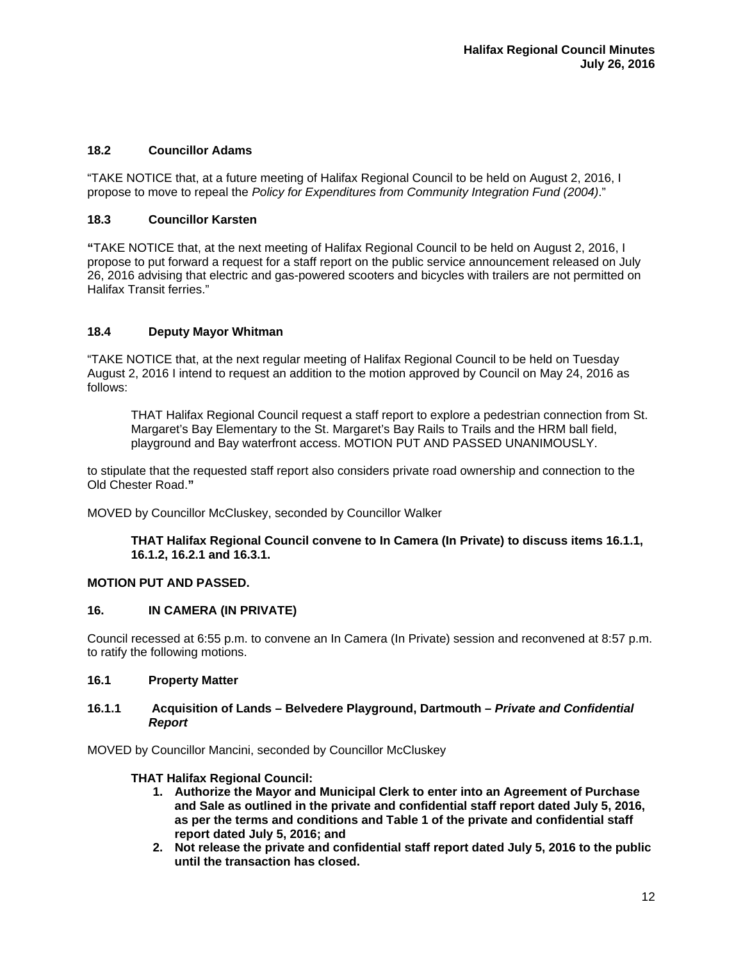## **18.2 Councillor Adams**

"TAKE NOTICE that, at a future meeting of Halifax Regional Council to be held on August 2, 2016, I propose to move to repeal the *Policy for Expenditures from Community Integration Fund (2004)*."

## **18.3 Councillor Karsten**

**"**TAKE NOTICE that, at the next meeting of Halifax Regional Council to be held on August 2, 2016, I propose to put forward a request for a staff report on the public service announcement released on July 26, 2016 advising that electric and gas-powered scooters and bicycles with trailers are not permitted on Halifax Transit ferries."

## **18.4 Deputy Mayor Whitman**

"TAKE NOTICE that, at the next regular meeting of Halifax Regional Council to be held on Tuesday August 2, 2016 I intend to request an addition to the motion approved by Council on May 24, 2016 as follows:

THAT Halifax Regional Council request a staff report to explore a pedestrian connection from St. Margaret's Bay Elementary to the St. Margaret's Bay Rails to Trails and the HRM ball field, playground and Bay waterfront access. MOTION PUT AND PASSED UNANIMOUSLY.

to stipulate that the requested staff report also considers private road ownership and connection to the Old Chester Road.**"** 

MOVED by Councillor McCluskey, seconded by Councillor Walker

**THAT Halifax Regional Council convene to In Camera (In Private) to discuss items 16.1.1, 16.1.2, 16.2.1 and 16.3.1.** 

## **MOTION PUT AND PASSED.**

#### **16. IN CAMERA (IN PRIVATE)**

Council recessed at 6:55 p.m. to convene an In Camera (In Private) session and reconvened at 8:57 p.m. to ratify the following motions.

## **16.1 Property Matter**

#### **16.1.1 Acquisition of Lands – Belvedere Playground, Dartmouth –** *Private and Confidential Report*

MOVED by Councillor Mancini, seconded by Councillor McCluskey

#### **THAT Halifax Regional Council:**

- **1. Authorize the Mayor and Municipal Clerk to enter into an Agreement of Purchase and Sale as outlined in the private and confidential staff report dated July 5, 2016, as per the terms and conditions and Table 1 of the private and confidential staff report dated July 5, 2016; and**
- **2. Not release the private and confidential staff report dated July 5, 2016 to the public until the transaction has closed.**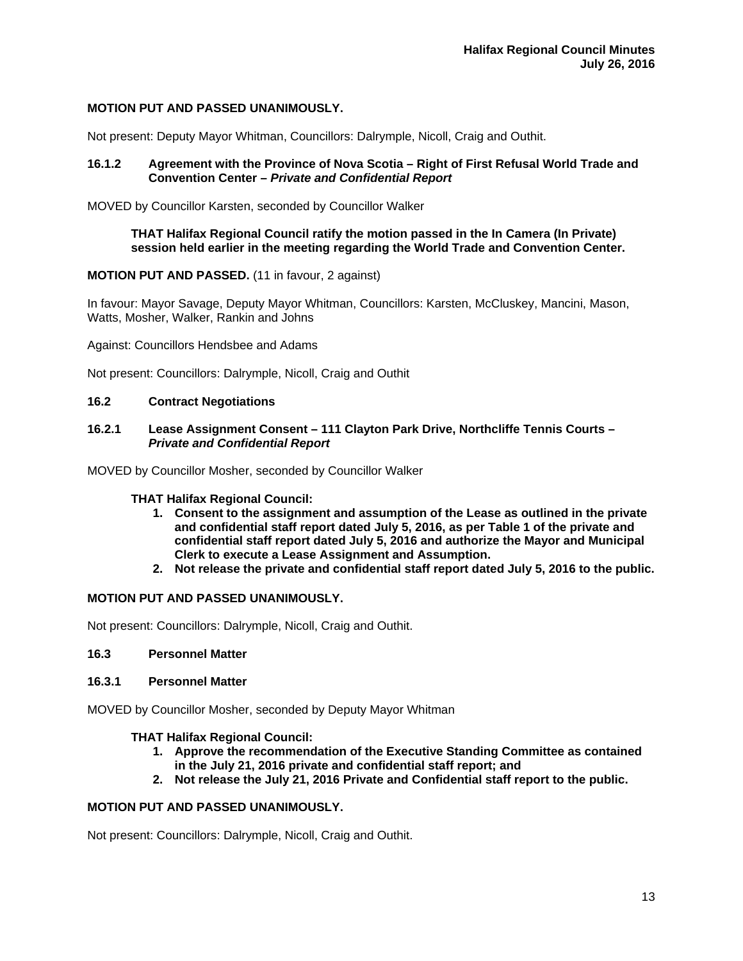## **MOTION PUT AND PASSED UNANIMOUSLY.**

Not present: Deputy Mayor Whitman, Councillors: Dalrymple, Nicoll, Craig and Outhit.

#### **16.1.2 Agreement with the Province of Nova Scotia – Right of First Refusal World Trade and Convention Center –** *Private and Confidential Report*

MOVED by Councillor Karsten, seconded by Councillor Walker

#### **THAT Halifax Regional Council ratify the motion passed in the In Camera (In Private) session held earlier in the meeting regarding the World Trade and Convention Center.**

#### **MOTION PUT AND PASSED.** (11 in favour, 2 against)

In favour: Mayor Savage, Deputy Mayor Whitman, Councillors: Karsten, McCluskey, Mancini, Mason, Watts, Mosher, Walker, Rankin and Johns

Against: Councillors Hendsbee and Adams

Not present: Councillors: Dalrymple, Nicoll, Craig and Outhit

#### **16.2 Contract Negotiations**

#### **16.2.1 Lease Assignment Consent – 111 Clayton Park Drive, Northcliffe Tennis Courts –** *Private and Confidential Report*

MOVED by Councillor Mosher, seconded by Councillor Walker

#### **THAT Halifax Regional Council:**

- **1. Consent to the assignment and assumption of the Lease as outlined in the private and confidential staff report dated July 5, 2016, as per Table 1 of the private and confidential staff report dated July 5, 2016 and authorize the Mayor and Municipal Clerk to execute a Lease Assignment and Assumption.**
- **2. Not release the private and confidential staff report dated July 5, 2016 to the public.**

#### **MOTION PUT AND PASSED UNANIMOUSLY.**

Not present: Councillors: Dalrymple, Nicoll, Craig and Outhit.

#### **16.3 Personnel Matter**

#### **16.3.1 Personnel Matter**

MOVED by Councillor Mosher, seconded by Deputy Mayor Whitman

#### **THAT Halifax Regional Council:**

- **1. Approve the recommendation of the Executive Standing Committee as contained in the July 21, 2016 private and confidential staff report; and**
- **2. Not release the July 21, 2016 Private and Confidential staff report to the public.**

## **MOTION PUT AND PASSED UNANIMOUSLY.**

Not present: Councillors: Dalrymple, Nicoll, Craig and Outhit.